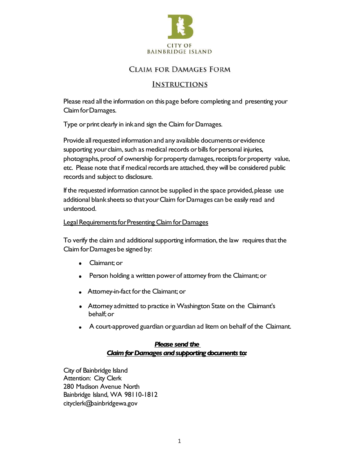

## **CLAIM FOR DAMAGES FORM**

## **INSTRUCTIONS**

Please read all the information on this page before completing and presenting your Claim for Damages.

Type or print clearly in ink and sign the Claim for Damages.

Provide all requested information and any available documents or evidence supporting your claim, such as medical records or bills for personal injuries, photographs, proof of ownership for property damages, receipts for property value, etc. Please note that if medical records are attached, they will be considered public records and subject to disclosure.

If the requested information cannot be supplied in the space provided, please use additional blank sheets so that your Claim for Damages can be easily read and understood.

#### Legal Requirements for Presenting Claim for Damages

To verify the claim and additional supporting information, the law requires that the Claim forDamages be signed by:

- Claimant; or  $\bullet$
- Person holding a written power of attorney from the Claimant; or  $\bullet$
- Attorney-in-fact for the Claimant; or
- Attorney admitted to practice in Washington State on the Claimant's behalf;or
- A court-approved guardian orguardian ad litem on behalf of the Claimant.

### *Please send the*  **Claim for Damages and supporting documents to:**

City of Bainbridge Island Attention: City Clerk 280 Madison Avenue North Bainbridge Island, WA 98110-1812 cityclerk@bainbridgewa.gov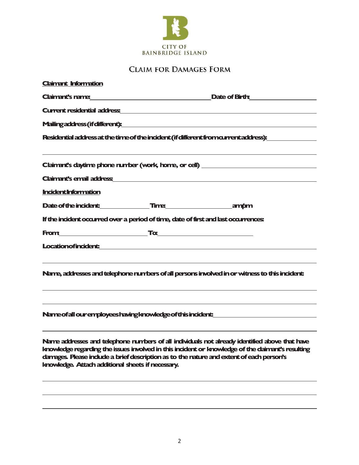

# **CLAIM FOR DAMAGES FORM**

| <b>Claimant Information</b>                                                                                                                                                                                                                                                                                                                                                                                                                                                |
|----------------------------------------------------------------------------------------------------------------------------------------------------------------------------------------------------------------------------------------------------------------------------------------------------------------------------------------------------------------------------------------------------------------------------------------------------------------------------|
| Claimant's name<br>Date of Birth <b>Constant Constant Constant Constant Constant Constant Constant Constant Constant Constant Constant Constant Constant Constant Constant Constant Constant Constant Constant Constant Constant Constant Constant </b>                                                                                                                                                                                                                    |
| Current residential address and a contract of the contract of the contract of the contract of the contract of the contract of the contract of the contract of the contract of the contract of the contract of the contract of                                                                                                                                                                                                                                              |
|                                                                                                                                                                                                                                                                                                                                                                                                                                                                            |
| Residential address at the time of the incident (if different from current address):                                                                                                                                                                                                                                                                                                                                                                                       |
| Claiment's daytime phone number (work, home, or cell) __________________________                                                                                                                                                                                                                                                                                                                                                                                           |
|                                                                                                                                                                                                                                                                                                                                                                                                                                                                            |
| <b>Incident Information</b>                                                                                                                                                                                                                                                                                                                                                                                                                                                |
| Date of the incident: Time Time ampm                                                                                                                                                                                                                                                                                                                                                                                                                                       |
| If the incident occurred over a period of time, date of first and last occurrences:                                                                                                                                                                                                                                                                                                                                                                                        |
|                                                                                                                                                                                                                                                                                                                                                                                                                                                                            |
| Location of incident: <u>www.community.com and including</u>                                                                                                                                                                                                                                                                                                                                                                                                               |
| ,我们也不会有什么。""我们的人,我们也不会有什么?""我们的人,我们也不会有什么?""我们的人,我们也不会有什么?""我们的人,我们也不会有什么?""我们的人<br>Name, addresses and telephone numbers of all persons involved in or witness to this incident:                                                                                                                                                                                                                                                                                          |
| Name of all our employees having knowledge of this incident:                                                                                                                                                                                                                                                                                                                                                                                                               |
| <u> 1989 - John Harry Harry Harry Harry Harry Harry Harry Harry Harry Harry Harry Harry Harry Harry Harry Harry</u><br>Name addresses and telephone numbers of all individuals not already identified above that have<br>lanowledge regarding the issues involved in this incident or knowledge of the daimant's resulting<br>damages. Please indude a brief description as to the nature and extent of each person's<br>Imowledge. Attach additional sheets if necessary. |
|                                                                                                                                                                                                                                                                                                                                                                                                                                                                            |